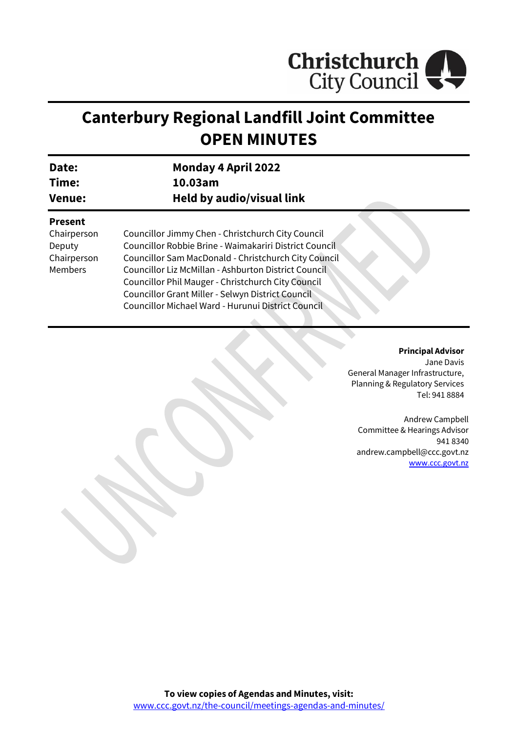

# **Canterbury Regional Landfill Joint Committee OPEN MINUTES**

| Date:<br>Time:<br><b>Venue:</b> | <b>Monday 4 April 2022</b><br>10.03am<br><b>Held by audio/visual link</b> |                |                                                   |
|---------------------------------|---------------------------------------------------------------------------|----------------|---------------------------------------------------|
|                                 |                                                                           | <b>Present</b> |                                                   |
|                                 |                                                                           | Chairperson    | Councillor Jimmy Chen - Christchurch City Council |
| Deputy                          | Councillor Robbie Brine - Waimakariri District Council                    |                |                                                   |
| Chairperson                     | Councillor Sam MacDonald - Christchurch City Council                      |                |                                                   |
| Members                         | Councillor Liz McMillan - Ashburton District Council                      |                |                                                   |
|                                 | Councillor Phil Mauger - Christchurch City Council                        |                |                                                   |
|                                 | Councillor Grant Miller - Selwyn District Council                         |                |                                                   |
|                                 | Councillor Michael Ward - Hurunui District Council                        |                |                                                   |

**Principal Advisor**

Jane Davis General Manager Infrastructure, Planning & Regulatory Services Tel: 941 8884

Andrew Campbell Committee & Hearings Advisor 941 8340 andrew.campbell@ccc.govt.nz [www.ccc.govt.nz](http://www.ccc.govt.nz/)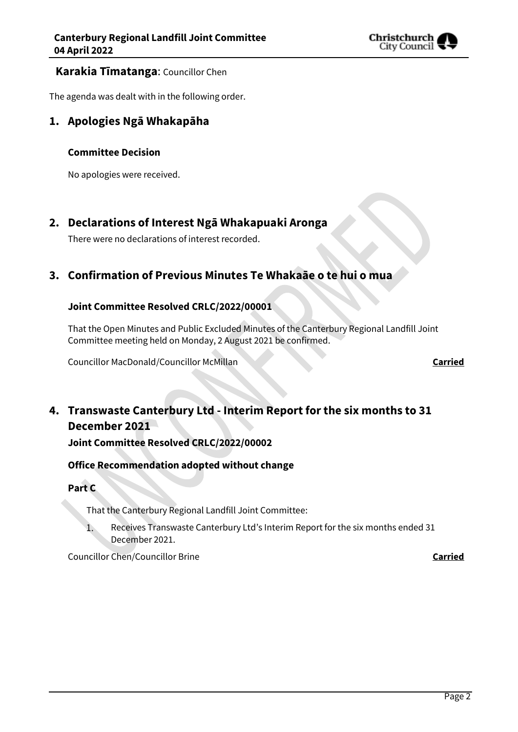

### **Karakia Tīmatanga**: Councillor Chen

The agenda was dealt with in the following order.

## **1. Apologies Ngā Whakapāha**

### **Committee Decision**

No apologies were received.

# **2. Declarations of Interest Ngā Whakapuaki Aronga**

There were no declarations of interest recorded.

# **3. Confirmation of Previous Minutes Te Whakaāe o te hui o mua**

### **Joint Committee Resolved CRLC/2022/00001**

That the Open Minutes and Public Excluded Minutes of the Canterbury Regional Landfill Joint Committee meeting held on Monday, 2 August 2021 be confirmed.

Councillor MacDonald/Councillor McMillan **Carried**

# **4. Transwaste Canterbury Ltd - Interim Report for the six months to 31 December 2021**

**Joint Committee Resolved CRLC/2022/00002**

### **Office Recommendation adopted without change**

**Part C**

That the Canterbury Regional Landfill Joint Committee:

 $1.$ Receives Transwaste Canterbury Ltd's Interim Report for the six months ended 31 December 2021.

Councillor Chen/Councillor Brine **Carried**